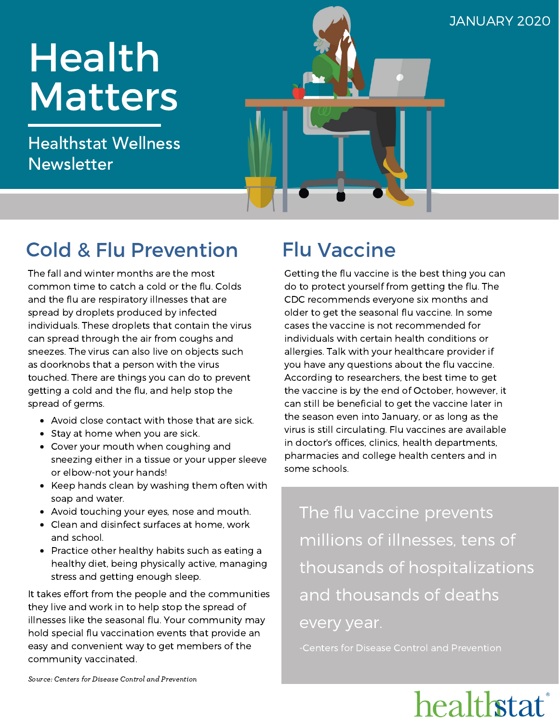# Health **Matters**

Healthstat Wellness Newsletter

### JANUARY 2020

Flu Vaccine

Getting the flu vaccine is the best thing you can do to protect yourself from getting the flu. The CDC recommends everyone six months and older to get the seasonal flu vaccine. In some cases the vaccine is not recommended for individuals with certain health conditions or allergies. Talk with your healthcare provider if you have any questions about the flu vaccine. According to researchers, the best time to get the vaccine is by the end of October, however, it can still be beneficial to get the vaccine later in the season even into January, or as long as the virus is still circulating. Flu vaccines are available in doctor's offices, clinics, health departments, pharmacies and college health centers and in some schools.

The flu vaccine prevents millions of illnesses, tens of thousands of hospitalizations and thousands of deaths every year.

-Centers for Disease Control and Prevention

## healthstat

### Cold & Flu Prevention

The fall and winter months are the most common time to catch a cold or the flu. Colds and the flu are respiratory illnesses that are spread by droplets produced by infected individuals. These droplets that contain the virus can spread through the air from coughs and sneezes. The virus can also live on objects such as doorknobs that a person with the virus touched. There are things you can do to prevent getting a cold and the flu, and help stop the spread of germs.

- Avoid close contact with those that are sick.
- Stay at home when you are sick.
- Cover your mouth when coughing and sneezing either in a tissue or your upper sleeve or elbow-not your hands!
- Keep hands clean by washing them often with soap and water.
- Avoid touching your eyes, nose and mouth.
- Clean and disinfect surfaces at home, work and school.
- Practice other healthy habits such as eating a healthy diet, being physically active, managing stress and getting enough sleep.

It takes effort from the people and the communities they live and work in to help stop the spread of illnesses like the seasonal flu. Your community may hold special flu vaccination events that provide an easy and convenient way to get members of the community vaccinated.